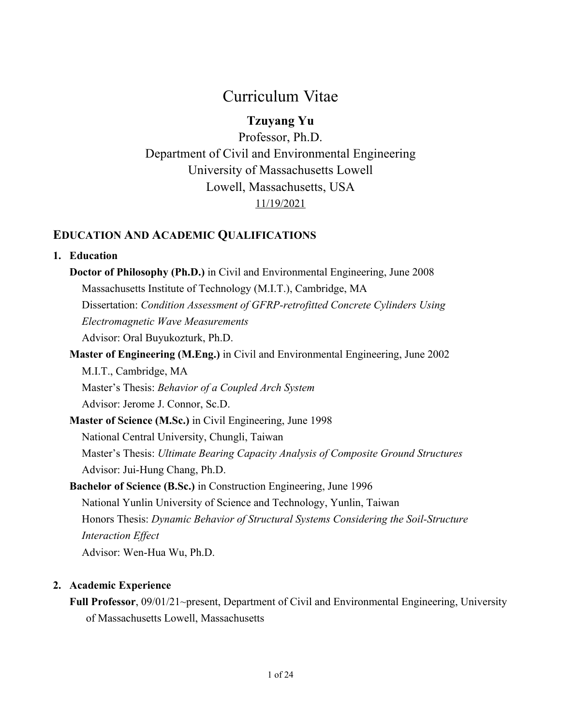# Curriculum Vitae

## **Tzuyang Yu**

Professor, Ph.D. Department of Civil and Environmental Engineering University of Massachusetts Lowell Lowell, Massachusetts, USA 11/19/2021

## **EDUCATION AND ACADEMIC QUALIFICATIONS**

### **1. Education**

- **Doctor of Philosophy (Ph.D.)** in Civil and Environmental Engineering, June 2008 Massachusetts Institute of Technology (M.I.T.), Cambridge, MA Dissertation: *Condition Assessment of GFRP-retrofitted Concrete Cylinders Using Electromagnetic Wave Measurements* Advisor: Oral Buyukozturk, Ph.D.
- **Master of Engineering (M.Eng.)** in Civil and Environmental Engineering, June 2002 M.I.T., Cambridge, MA Master's Thesis: *Behavior of a Coupled Arch System*

Advisor: Jerome J. Connor, Sc.D.

- **Master of Science (M.Sc.)** in Civil Engineering, June 1998 National Central University, Chungli, Taiwan Master's Thesis: *Ultimate Bearing Capacity Analysis of Composite Ground Structures* Advisor: Jui-Hung Chang, Ph.D.
- **Bachelor of Science (B.Sc.)** in Construction Engineering, June 1996 National Yunlin University of Science and Technology, Yunlin, Taiwan Honors Thesis: *Dynamic Behavior of Structural Systems Considering the Soil-Structure Interaction Effect* Advisor: Wen-Hua Wu, Ph.D.

## **2. Academic Experience**

**Full Professor**, 09/01/21~present, Department of Civil and Environmental Engineering, University of Massachusetts Lowell, Massachusetts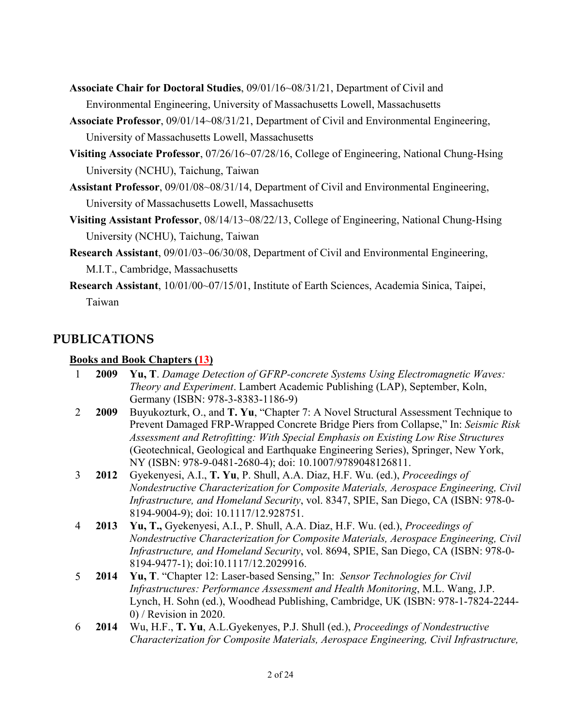- **Associate Chair for Doctoral Studies**, 09/01/16~08/31/21, Department of Civil and Environmental Engineering, University of Massachusetts Lowell, Massachusetts
- **Associate Professor**, 09/01/14~08/31/21, Department of Civil and Environmental Engineering, University of Massachusetts Lowell, Massachusetts
- **Visiting Associate Professor**, 07/26/16~07/28/16, College of Engineering, National Chung-Hsing University (NCHU), Taichung, Taiwan
- **Assistant Professor**, 09/01/08~08/31/14, Department of Civil and Environmental Engineering, University of Massachusetts Lowell, Massachusetts
- **Visiting Assistant Professor**, 08/14/13~08/22/13, College of Engineering, National Chung-Hsing University (NCHU), Taichung, Taiwan
- **Research Assistant**, 09/01/03~06/30/08, Department of Civil and Environmental Engineering, M.I.T., Cambridge, Massachusetts
- **Research Assistant**, 10/01/00~07/15/01, Institute of Earth Sciences, Academia Sinica, Taipei, Taiwan

## **PUBLICATIONS**

### **Books and Book Chapters (13)**

|   | 2009 | Yu, T. Damage Detection of GFRP-concrete Systems Using Electromagnetic Waves:                                   |
|---|------|-----------------------------------------------------------------------------------------------------------------|
|   |      | Theory and Experiment. Lambert Academic Publishing (LAP), September, Koln,<br>Germany (ISBN: 978-3-8383-1186-9) |
| 2 | 2009 | Buyukozturk, O., and T. Yu, "Chapter 7: A Novel Structural Assessment Technique to                              |
|   |      | Prevent Damaged FRP-Wrapped Concrete Bridge Piers from Collapse," In: Seismic Risk                              |
|   |      | Assessment and Retrofitting: With Special Emphasis on Existing Low Rise Structures                              |
|   |      | (Geotechnical, Geological and Earthquake Engineering Series), Springer, New York,                               |
|   |      | NY (ISBN: 978-9-0481-2680-4); doi: 10.1007/9789048126811.                                                       |
| 3 | 2012 | Gyekenyesi, A.I., T. Yu, P. Shull, A.A. Diaz, H.F. Wu. (ed.), Proceedings of                                    |
|   |      | Nondestructive Characterization for Composite Materials, Aerospace Engineering, Civil                           |
|   |      | Infrastructure, and Homeland Security, vol. 8347, SPIE, San Diego, CA (ISBN: 978-0-                             |
|   |      | 8194-9004-9); doi: 10.1117/12.928751.                                                                           |
| 4 | 2013 | Yu, T., Gyekenyesi, A.I., P. Shull, A.A. Diaz, H.F. Wu. (ed.), <i>Proceedings of</i>                            |
|   |      | Nondestructive Characterization for Composite Materials, Aerospace Engineering, Civil                           |
|   |      | Infrastructure, and Homeland Security, vol. 8694, SPIE, San Diego, CA (ISBN: 978-0-                             |
|   |      | 8194-9477-1); doi:10.1117/12.2029916.                                                                           |
| 5 | 2014 | Yu, T. "Chapter 12: Laser-based Sensing," In: Sensor Technologies for Civil                                     |
|   |      | Infrastructures: Performance Assessment and Health Monitoring, M.L. Wang, J.P.                                  |
|   |      | Lynch, H. Sohn (ed.), Woodhead Publishing, Cambridge, UK (ISBN: 978-1-7824-2244-                                |
|   |      | $0$ ) / Revision in 2020.                                                                                       |
| 6 | 2014 | Wu, H.F., T. Yu, A.L.Gyekenyes, P.J. Shull (ed.), Proceedings of Nondestructive                                 |
|   |      | Characterization for Composite Materials, Aerospace Engineering, Civil Infrastructure,                          |
|   |      |                                                                                                                 |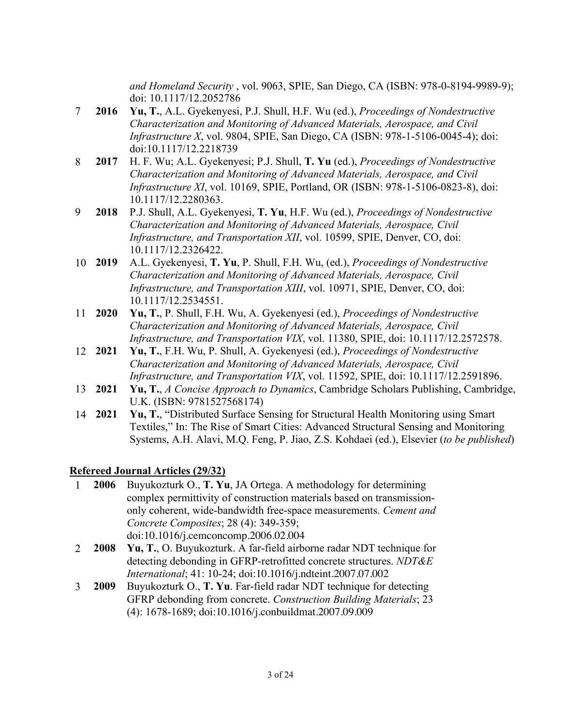*and Homeland Security* , vol. 9063, SPIE, San Diego, CA (ISBN: 978-0-8194-9989-9); doi: 10.1117/12.2052786

- 7 **2016 Yu, T.**, A.L. Gyekenyesi, P.J. Shull, H.F. Wu (ed.), *Proceedings of Nondestructive Characterization and Monitoring of Advanced Materials, Aerospace, and Civil Infrastructure X*, vol. 9804, SPIE, San Diego, CA (ISBN: 978-1-5106-0045-4); doi: doi:10.1117/12.2218739
- 8 **2017** H. F. Wu; A.L. Gyekenyesi; P.J. Shull, **T. Yu** (ed.), *Proceedings of Nondestructive Characterization and Monitoring of Advanced Materials, Aerospace, and Civil Infrastructure XI*, vol. 10169, SPIE, Portland, OR (ISBN: 978-1-5106-0823-8), doi: 10.1117/12.2280363.
- 9 **2018** P.J. Shull, A.L. Gyekenyesi, **T. Yu**, H.F. Wu (ed.), *Proceedings of Nondestructive Characterization and Monitoring of Advanced Materials, Aerospace, Civil Infrastructure, and Transportation XII*, vol. 10599, SPIE, Denver, CO, doi: 10.1117/12.2326422.
- 10 **2019** A.L. Gyekenyesi, **T. Yu**, P. Shull, F.H. Wu, (ed.), *Proceedings of Nondestructive Characterization and Monitoring of Advanced Materials, Aerospace, Civil Infrastructure, and Transportation XIII*, vol. 10971, SPIE, Denver, CO, doi: 10.1117/12.2534551.
- 11 **2020 Yu, T.**, P. Shull, F.H. Wu, A. Gyekenyesi (ed.), *Proceedings of Nondestructive Characterization and Monitoring of Advanced Materials, Aerospace, Civil Infrastructure, and Transportation VIX*, vol. 11380, SPIE, doi: 10.1117/12.2572578.
- 12 **2021 Yu, T.**, F.H. Wu, P. Shull, A. Gyekenyesi (ed.), *Proceedings of Nondestructive Characterization and Monitoring of Advanced Materials, Aerospace, Civil Infrastructure, and Transportation VIX*, vol. 11592, SPIE, doi: 10.1117/12.2591896.
- 13 **2021 Yu, T.**, *A Concise Approach to Dynamics*, Cambridge Scholars Publishing, Cambridge, U.K. (ISBN: 9781527568174)
- 14 **2021 Yu, T.**, "Distributed Surface Sensing for Structural Health Monitoring using Smart Textiles," In: The Rise of Smart Cities: Advanced Structural Sensing and Monitoring Systems, A.H. Alavi, M.Q. Feng, P. Jiao, Z.S. Kohdaei (ed.), Elsevier (*to be published*)

### **Refereed Journal Articles (29/32)**

- 1 **2006** Buyukozturk O., **T. Yu**, JA Ortega. A methodology for determining complex permittivity of construction materials based on transmissiononly coherent, wide-bandwidth free-space measurements. *Cement and Concrete Composites*; 28 (4): 349-359; doi:10.1016/j.cemconcomp.2006.02.004
- 2 **2008 Yu, T.**, O. Buyukozturk. A far-field airborne radar NDT technique for detecting debonding in GFRP-retrofitted concrete structures. *NDT&E International*; 41: 10-24; doi:10.1016/j.ndteint.2007.07.002
- 3 **2009** Buyukozturk O., **T. Yu**. Far-field radar NDT technique for detecting GFRP debonding from concrete. *Construction Building Materials*; 23 (4): 1678-1689; doi:10.1016/j.conbuildmat.2007.09.009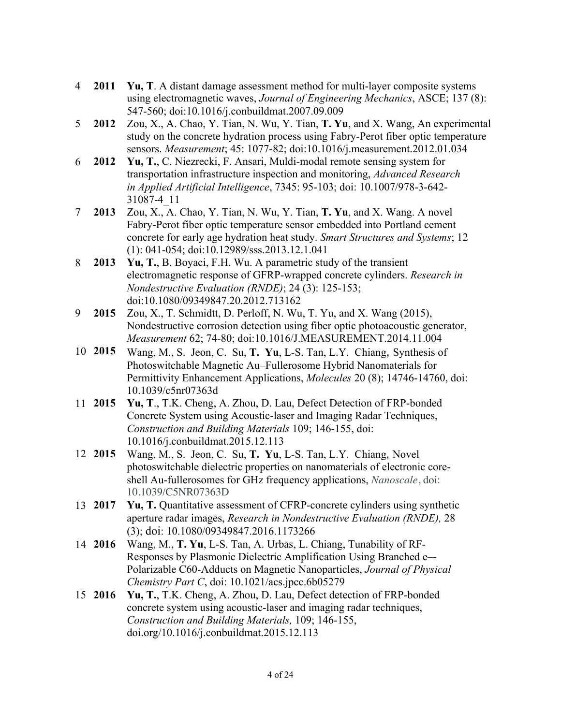- 4 **2011 Yu, T**. A distant damage assessment method for multi-layer composite systems using electromagnetic waves, *Journal of Engineering Mechanics*, ASCE; 137 (8): 547-560; doi:10.1016/j.conbuildmat.2007.09.009
- 5 **2012** Zou, X., A. Chao, Y. Tian, N. Wu, Y. Tian, **T. Yu**, and X. Wang, An experimental study on the concrete hydration process using Fabry-Perot fiber optic temperature sensors. *Measurement*; 45: 1077-82; doi:10.1016/j.measurement.2012.01.034
- 6 **2012 Yu, T.**, C. Niezrecki, F. Ansari, Muldi-modal remote sensing system for transportation infrastructure inspection and monitoring, *Advanced Research in Applied Artificial Intelligence*, 7345: 95-103; doi: 10.1007/978-3-642- 31087-4\_11
- 7 **2013** Zou, X., A. Chao, Y. Tian, N. Wu, Y. Tian, **T. Yu**, and X. Wang. A novel Fabry-Perot fiber optic temperature sensor embedded into Portland cement concrete for early age hydration heat study. *Smart Structures and Systems*; 12 (1): 041-054; doi:10.12989/sss.2013.12.1.041
- 8 **2013 Yu, T.**, B. Boyaci, F.H. Wu. A parametric study of the transient electromagnetic response of GFRP-wrapped concrete cylinders. *Research in Nondestructive Evaluation (RNDE)*; 24 (3): 125-153; doi:10.1080/09349847.20.2012.713162
- 9 **2015** Zou, X., T. Schmidtt, D. Perloff, N. Wu, T. Yu, and X. Wang (2015), Nondestructive corrosion detection using fiber optic photoacoustic generator, *Measurement* 62; 74-80; doi:10.1016/J.MEASUREMENT.2014.11.004
- 10 **2015** Wang, M., S. Jeon, C. Su, **T. Yu**, L-S. Tan, L.Y. Chiang, Synthesis of Photoswitchable Magnetic Au–Fullerosome Hybrid Nanomaterials for Permittivity Enhancement Applications, *Molecules* 20 (8); 14746-14760, doi: 10.1039/c5nr07363d
- 11 **2015 Yu, T**., T.K. Cheng, A. Zhou, D. Lau, Defect Detection of FRP-bonded Concrete System using Acoustic-laser and Imaging Radar Techniques, *Construction and Building Materials* 109; 146-155, doi: 10.1016/j.conbuildmat.2015.12.113
- 12 **2015** Wang, M., S. Jeon, C. Su, **T. Yu**, L-S. Tan, L.Y. Chiang, Novel photoswitchable dielectric properties on nanomaterials of electronic coreshell Au-fullerosomes for GHz frequency applications, *Nanoscale*, doi: 10.1039/C5NR07363D
- 13 **2017 Yu, T.** Quantitative assessment of CFRP-concrete cylinders using synthetic aperture radar images, *Research in Nondestructive Evaluation (RNDE),* 28 (3); doi: 10.1080/09349847.2016.1173266
- 14 **2016** Wang, M., **T. Yu**, L-S. Tan, A. Urbas, L. Chiang, Tunability of RF-Responses by Plasmonic Dielectric Amplification Using Branched e–- Polarizable C60-Adducts on Magnetic Nanoparticles, *Journal of Physical Chemistry Part C*, doi: 10.1021/acs.jpcc.6b05279
- 15 **2016 Yu, T.**, T.K. Cheng, A. Zhou, D. Lau, Defect detection of FRP-bonded concrete system using acoustic-laser and imaging radar techniques, *Construction and Building Materials,* 109; 146-155, doi.org/10.1016/j.conbuildmat.2015.12.113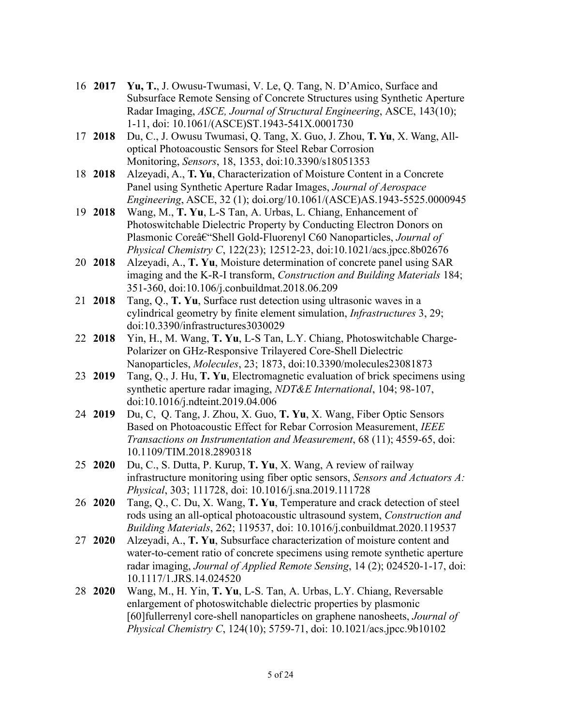- 16 **2017 Yu, T.**, J. Owusu-Twumasi, V. Le, Q. Tang, N. D'Amico, Surface and Subsurface Remote Sensing of Concrete Structures using Synthetic Aperture Radar Imaging, *ASCE, Journal of Structural Engineering*, ASCE, 143(10); 1-11, doi: 10.1061/(ASCE)ST.1943-541X.0001730
- 17 **2018** Du, C., J. Owusu Twumasi, Q. Tang, X. Guo, J. Zhou, **T. Yu**, X. Wang, Alloptical Photoacoustic Sensors for Steel Rebar Corrosion Monitoring, *Sensors*, 18, 1353, doi:10.3390/s18051353
- 18 **2018** Alzeyadi, A., **T. Yu**, Characterization of Moisture Content in a Concrete Panel using Synthetic Aperture Radar Images, *Journal of Aerospace Engineering*, ASCE, 32 (1); doi.org/10.1061/(ASCE)AS.1943-5525.0000945
- 19 **2018** Wang, M., **T. Yu**, L-S Tan, A. Urbas, L. Chiang, Enhancement of Photoswitchable Dielectric Property by Conducting Electron Donors on Plasmonic Coreâ $\epsilon$ "Shell Gold-Fluorenyl C60 Nanoparticles, *Journal of Physical Chemistry C*, 122(23); 12512-23, doi:10.1021/acs.jpcc.8b02676
- 20 **2018** Alzeyadi, A., **T. Yu**, Moisture determination of concrete panel using SAR imaging and the K-R-I transform, *Construction and Building Materials* 184; 351-360, doi:10.106/j.conbuildmat.2018.06.209
- 21 **2018** Tang, Q., **T. Yu**, Surface rust detection using ultrasonic waves in a cylindrical geometry by finite element simulation, *Infrastructures* 3, 29; doi:10.3390/infrastructures3030029
- 22 **2018** Yin, H., M. Wang, **T. Yu**, L-S Tan, L.Y. Chiang, Photoswitchable Charge-Polarizer on GHz-Responsive Trilayered Core-Shell Dielectric Nanoparticles, *Molecules*, 23; 1873, doi:10.3390/molecules23081873
- 23 **2019** Tang, Q., J. Hu, **T. Yu**, Electromagnetic evaluation of brick specimens using synthetic aperture radar imaging, *NDT&E International*, 104; 98-107, doi:10.1016/j.ndteint.2019.04.006
- 24 **2019** Du, C, Q. Tang, J. Zhou, X. Guo, **T. Yu**, X. Wang, Fiber Optic Sensors Based on Photoacoustic Effect for Rebar Corrosion Measurement, *IEEE Transactions on Instrumentation and Measurement*, 68 (11); 4559-65, doi: 10.1109/TIM.2018.2890318
- 25 **2020** Du, C., S. Dutta, P. Kurup, **T. Yu**, X. Wang, A review of railway infrastructure monitoring using fiber optic sensors, *Sensors and Actuators A: Physical*, 303; 111728, doi: 10.1016/j.sna.2019.111728
- 26 **2020** Tang, Q., C. Du, X. Wang, **T. Yu**, Temperature and crack detection of steel rods using an all-optical photoacoustic ultrasound system, *Construction and Building Materials*, 262; 119537, doi: 10.1016/j.conbuildmat.2020.119537
- 27 **2020** Alzeyadi, A., **T. Yu**, Subsurface characterization of moisture content and water-to-cement ratio of concrete specimens using remote synthetic aperture radar imaging, *Journal of Applied Remote Sensing*, 14 (2); 024520-1-17, doi: 10.1117/1.JRS.14.024520
- 28 **2020** Wang, M., H. Yin, **T. Yu**, L-S. Tan, A. Urbas, L.Y. Chiang, Reversable enlargement of photoswitchable dielectric properties by plasmonic [60]fullerrenyl core-shell nanoparticles on graphene nanosheets, *Journal of Physical Chemistry C*, 124(10); 5759-71, doi: 10.1021/acs.jpcc.9b10102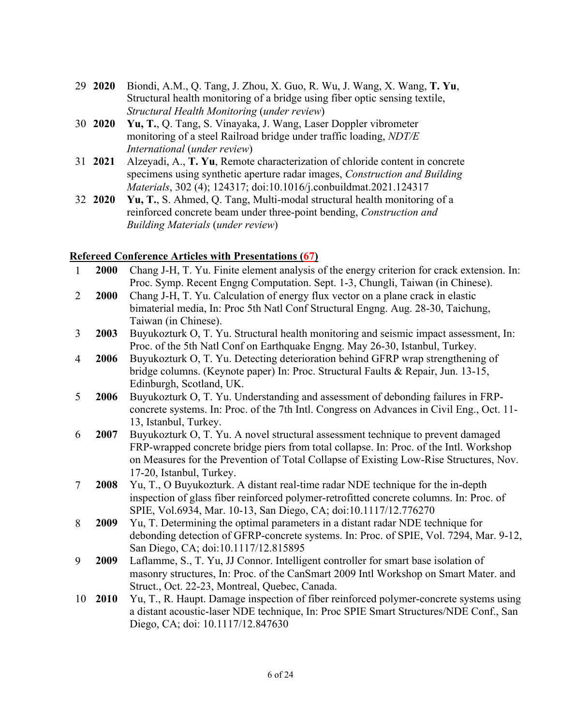- 29 **2020** Biondi, A.M., Q. Tang, J. Zhou, X. Guo, R. Wu, J. Wang, X. Wang, **T. Yu**, Structural health monitoring of a bridge using fiber optic sensing textile, *Structural Health Monitoring* (*under review*)
- 30 **2020 Yu, T.**, Q. Tang, S. Vinayaka, J. Wang, Laser Doppler vibrometer monitoring of a steel Railroad bridge under traffic loading, *NDT/E International* (*under review*)
- 31 **2021** Alzeyadi, A., **T. Yu**, Remote characterization of chloride content in concrete specimens using synthetic aperture radar images, *Construction and Building Materials*, 302 (4); 124317; doi:10.1016/j.conbuildmat.2021.124317
- 32 **2020 Yu, T.**, S. Ahmed, Q. Tang, Multi-modal structural health monitoring of a reinforced concrete beam under three-point bending, *Construction and Building Materials* (*under review*)

#### **Refereed Conference Articles with Presentations (67)**

- 1 **2000** Chang J-H, T. Yu. Finite element analysis of the energy criterion for crack extension. In: Proc. Symp. Recent Engng Computation. Sept. 1-3, Chungli, Taiwan (in Chinese). 2 **2000** Chang J-H, T. Yu. Calculation of energy flux vector on a plane crack in elastic
- bimaterial media, In: Proc 5th Natl Conf Structural Engng. Aug. 28-30, Taichung, Taiwan (in Chinese).
- 3 **2003** Buyukozturk O, T. Yu. Structural health monitoring and seismic impact assessment, In: Proc. of the 5th Natl Conf on Earthquake Engng. May 26-30, Istanbul, Turkey.
- 4 **2006** Buyukozturk O, T. Yu. Detecting deterioration behind GFRP wrap strengthening of bridge columns. (Keynote paper) In: Proc. Structural Faults & Repair, Jun. 13-15, Edinburgh, Scotland, UK.
- 5 **2006** Buyukozturk O, T. Yu. Understanding and assessment of debonding failures in FRPconcrete systems. In: Proc. of the 7th Intl. Congress on Advances in Civil Eng., Oct. 11- 13, Istanbul, Turkey.
- 6 **2007** Buyukozturk O, T. Yu. A novel structural assessment technique to prevent damaged FRP-wrapped concrete bridge piers from total collapse. In: Proc. of the Intl. Workshop on Measures for the Prevention of Total Collapse of Existing Low-Rise Structures, Nov. 17-20, Istanbul, Turkey.
- 7 **2008** Yu, T., O Buyukozturk. A distant real-time radar NDE technique for the in-depth inspection of glass fiber reinforced polymer-retrofitted concrete columns. In: Proc. of SPIE, Vol.6934, Mar. 10-13, San Diego, CA; doi:10.1117/12.776270
- 8 **2009** Yu, T. Determining the optimal parameters in a distant radar NDE technique for debonding detection of GFRP-concrete systems. In: Proc. of SPIE, Vol. 7294, Mar. 9-12, San Diego, CA; doi:10.1117/12.815895
- 9 **2009** Laflamme, S., T. Yu, JJ Connor. Intelligent controller for smart base isolation of masonry structures, In: Proc. of the CanSmart 2009 Intl Workshop on Smart Mater. and Struct., Oct. 22-23, Montreal, Quebec, Canada.
- 10 **2010** Yu, T., R. Haupt. Damage inspection of fiber reinforced polymer-concrete systems using a distant acoustic-laser NDE technique, In: Proc SPIE Smart Structures/NDE Conf., San Diego, CA; doi: 10.1117/12.847630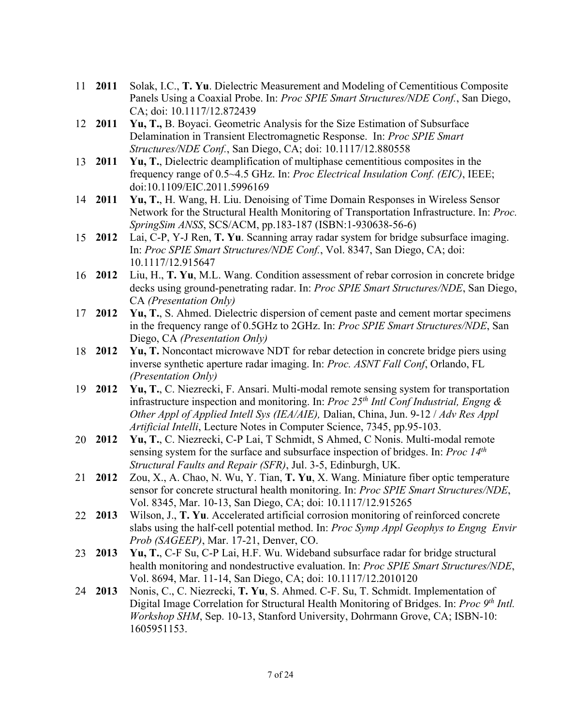- 11 **2011** Solak, I.C., **T. Yu**. Dielectric Measurement and Modeling of Cementitious Composite Panels Using a Coaxial Probe. In: *Proc SPIE Smart Structures/NDE Conf.*, San Diego, CA; doi: 10.1117/12.872439
- 12 **2011 Yu, T.,** B. Boyaci. Geometric Analysis for the Size Estimation of Subsurface Delamination in Transient Electromagnetic Response. In: *Proc SPIE Smart Structures/NDE Conf.*, San Diego, CA; doi: 10.1117/12.880558
- 13 **2011 Yu, T.**, Dielectric deamplification of multiphase cementitious composites in the frequency range of 0.5~4.5 GHz. In: *Proc Electrical Insulation Conf. (EIC)*, IEEE; doi:10.1109/EIC.2011.5996169
- 14 **2011 Yu, T.**, H. Wang, H. Liu. Denoising of Time Domain Responses in Wireless Sensor Network for the Structural Health Monitoring of Transportation Infrastructure. In: *Proc. SpringSim ANSS*, SCS/ACM, pp.183-187 (ISBN:1-930638-56-6)
- 15 **2012** Lai, C-P, Y-J Ren, **T. Yu**. Scanning array radar system for bridge subsurface imaging. In: *Proc SPIE Smart Structures/NDE Conf.*, Vol. 8347, San Diego, CA; doi: 10.1117/12.915647
- 16 **2012** Liu, H., **T. Yu**, M.L. Wang. Condition assessment of rebar corrosion in concrete bridge decks using ground-penetrating radar. In: *Proc SPIE Smart Structures/NDE*, San Diego, CA *(Presentation Only)*
- 17 **2012 Yu, T.**, S. Ahmed. Dielectric dispersion of cement paste and cement mortar specimens in the frequency range of 0.5GHz to 2GHz. In: *Proc SPIE Smart Structures/NDE*, San Diego, CA *(Presentation Only)*
- 18 **2012 Yu, T.** Noncontact microwave NDT for rebar detection in concrete bridge piers using inverse synthetic aperture radar imaging. In: *Proc. ASNT Fall Conf*, Orlando, FL *(Presentation Only)*
- 19 **2012 Yu, T.**, C. Niezrecki, F. Ansari. Multi-modal remote sensing system for transportation infrastructure inspection and monitoring. In: *Proc 25th Intl Conf Industrial, Engng & Other Appl of Applied Intell Sys (IEA/AIE),* Dalian, China, Jun. 9-12 / *Adv Res Appl Artificial Intelli*, Lecture Notes in Computer Science, 7345, pp.95-103.
- 20 **2012 Yu, T.**, C. Niezrecki, C-P Lai, T Schmidt, S Ahmed, C Nonis. Multi-modal remote sensing system for the surface and subsurface inspection of bridges. In: *Proc 14th Structural Faults and Repair (SFR)*, Jul. 3-5, Edinburgh, UK.
- 21 **2012** Zou, X., A. Chao, N. Wu, Y. Tian, **T. Yu**, X. Wang. Miniature fiber optic temperature sensor for concrete structural health monitoring. In: *Proc SPIE Smart Structures/NDE*, Vol. 8345, Mar. 10-13, San Diego, CA; doi: 10.1117/12.915265
- 22 **2013** Wilson, J., **T. Yu**. Accelerated artificial corrosion monitoring of reinforced concrete slabs using the half-cell potential method. In: *Proc Symp Appl Geophys to Engng Envir Prob (SAGEEP)*, Mar. 17-21, Denver, CO.
- 23 **2013 Yu, T.**, C-F Su, C-P Lai, H.F. Wu. Wideband subsurface radar for bridge structural health monitoring and nondestructive evaluation. In: *Proc SPIE Smart Structures/NDE*, Vol. 8694, Mar. 11-14, San Diego, CA; doi: 10.1117/12.2010120
- 24 **2013** Nonis, C., C. Niezrecki, **T. Yu**, S. Ahmed. C-F. Su, T. Schmidt. Implementation of Digital Image Correlation for Structural Health Monitoring of Bridges. In: *Proc 9<sup>th</sup> Intl. Workshop SHM*, Sep. 10-13, Stanford University, Dohrmann Grove, CA; ISBN-10: 1605951153.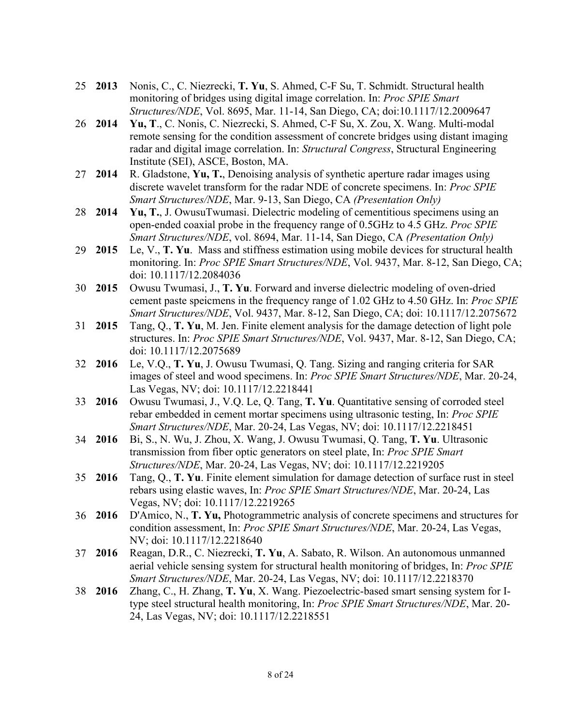- 25 **2013** Nonis, C., C. Niezrecki, **T. Yu**, S. Ahmed, C-F Su, T. Schmidt. Structural health monitoring of bridges using digital image correlation. In: *Proc SPIE Smart Structures/NDE*, Vol. 8695, Mar. 11-14, San Diego, CA; doi:10.1117/12.2009647
- 26 **2014 Yu, T**., C. Nonis, C. Niezrecki, S. Ahmed, C-F Su, X. Zou, X. Wang. Multi-modal remote sensing for the condition assessment of concrete bridges using distant imaging radar and digital image correlation. In: *Structural Congress*, Structural Engineering Institute (SEI), ASCE, Boston, MA.
- 27 **2014** R. Gladstone, **Yu, T.**, Denoising analysis of synthetic aperture radar images using discrete wavelet transform for the radar NDE of concrete specimens. In: *Proc SPIE Smart Structures/NDE*, Mar. 9-13, San Diego, CA *(Presentation Only)*
- 28 **2014 Yu, T.**, J. OwusuTwumasi. Dielectric modeling of cementitious specimens using an open-ended coaxial probe in the frequency range of 0.5GHz to 4.5 GHz. *Proc SPIE Smart Structures/NDE*, vol. 8694, Mar. 11-14, San Diego, CA *(Presentation Only)*
- 29 **2015** Le, V., **T. Yu**. Mass and stiffness estimation using mobile devices for structural health monitoring. In: *Proc SPIE Smart Structures/NDE*, Vol. 9437, Mar. 8-12, San Diego, CA; doi: 10.1117/12.2084036
- 30 **2015** Owusu Twumasi, J., **T. Yu**. Forward and inverse dielectric modeling of oven-dried cement paste speicmens in the frequency range of 1.02 GHz to 4.50 GHz. In: *Proc SPIE Smart Structures/NDE*, Vol. 9437, Mar. 8-12, San Diego, CA; doi: 10.1117/12.2075672
- 31 **2015** Tang, Q., **T. Yu**, M. Jen. Finite element analysis for the damage detection of light pole structures. In: *Proc SPIE Smart Structures/NDE*, Vol. 9437, Mar. 8-12, San Diego, CA; doi: 10.1117/12.2075689
- 32 **2016** Le, V.Q., **T. Yu**, J. Owusu Twumasi, Q. Tang. Sizing and ranging criteria for SAR images of steel and wood specimens. In: *Proc SPIE Smart Structures/NDE*, Mar. 20-24, Las Vegas, NV; doi: 10.1117/12.2218441
- 33 **2016** Owusu Twumasi, J., V.Q. Le, Q. Tang, **T. Yu**. Quantitative sensing of corroded steel rebar embedded in cement mortar specimens using ultrasonic testing, In: *Proc SPIE Smart Structures/NDE*, Mar. 20-24, Las Vegas, NV; doi: 10.1117/12.2218451
- 34 **2016** Bi, S., N. Wu, J. Zhou, X. Wang, J. Owusu Twumasi, Q. Tang, **T. Yu**. Ultrasonic transmission from fiber optic generators on steel plate, In: *Proc SPIE Smart Structures/NDE*, Mar. 20-24, Las Vegas, NV; doi: 10.1117/12.2219205
- 35 **2016** Tang, Q., **T. Yu**. Finite element simulation for damage detection of surface rust in steel rebars using elastic waves, In: *Proc SPIE Smart Structures/NDE*, Mar. 20-24, Las Vegas, NV; doi: 10.1117/12.2219265
- 36 **2016** D'Amico, N., **T. Yu,** Photogrammetric analysis of concrete specimens and structures for condition assessment, In: *Proc SPIE Smart Structures/NDE*, Mar. 20-24, Las Vegas, NV; doi: 10.1117/12.2218640
- 37 **2016** Reagan, D.R., C. Niezrecki, **T. Yu**, A. Sabato, R. Wilson. An autonomous unmanned aerial vehicle sensing system for structural health monitoring of bridges, In: *Proc SPIE Smart Structures/NDE*, Mar. 20-24, Las Vegas, NV; doi: 10.1117/12.2218370
- 38 **2016** Zhang, C., H. Zhang, **T. Yu**, X. Wang. Piezoelectric-based smart sensing system for Itype steel structural health monitoring, In: *Proc SPIE Smart Structures/NDE*, Mar. 20- 24, Las Vegas, NV; doi: 10.1117/12.2218551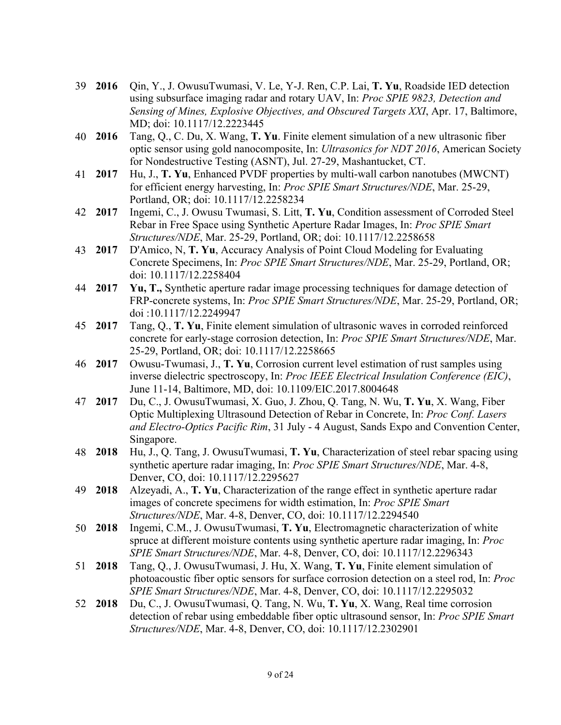- 39 **2016** Qin, Y., J. OwusuTwumasi, V. Le, Y-J. Ren, C.P. Lai, **T. Yu**, Roadside IED detection using subsurface imaging radar and rotary UAV, In: *Proc SPIE 9823, Detection and Sensing of Mines, Explosive Objectives, and Obscured Targets XXI*, Apr. 17, Baltimore, MD; doi: 10.1117/12.2223445
- 40 **2016** Tang, Q., C. Du, X. Wang, **T. Yu**. Finite element simulation of a new ultrasonic fiber optic sensor using gold nanocomposite, In: *Ultrasonics for NDT 2016*, American Society for Nondestructive Testing (ASNT), Jul. 27-29, Mashantucket, CT.
- 41 **2017** Hu, J., **T. Yu**, Enhanced PVDF properties by multi-wall carbon nanotubes (MWCNT) for efficient energy harvesting, In: *Proc SPIE Smart Structures/NDE*, Mar. 25-29, Portland, OR; doi: 10.1117/12.2258234
- 42 **2017** Ingemi, C., J. Owusu Twumasi, S. Litt, **T. Yu**, Condition assessment of Corroded Steel Rebar in Free Space using Synthetic Aperture Radar Images, In: *Proc SPIE Smart Structures/NDE*, Mar. 25-29, Portland, OR; doi: 10.1117/12.2258658
- 43 **2017** D'Amico, N, **T. Yu**, Accuracy Analysis of Point Cloud Modeling for Evaluating Concrete Specimens, In: *Proc SPIE Smart Structures/NDE*, Mar. 25-29, Portland, OR; doi: 10.1117/12.2258404
- 44 **2017 Yu, T.,** Synthetic aperture radar image processing techniques for damage detection of FRP-concrete systems, In: *Proc SPIE Smart Structures/NDE*, Mar. 25-29, Portland, OR; doi :10.1117/12.2249947
- 45 **2017** Tang, Q., **T. Yu**, Finite element simulation of ultrasonic waves in corroded reinforced concrete for early-stage corrosion detection, In: *Proc SPIE Smart Structures/NDE*, Mar. 25-29, Portland, OR; doi: 10.1117/12.2258665
- 46 **2017** Owusu-Twumasi, J., **T. Yu**, Corrosion current level estimation of rust samples using inverse dielectric spectroscopy, In: *Proc IEEE Electrical Insulation Conference (EIC)*, June 11-14, Baltimore, MD, doi: 10.1109/EIC.2017.8004648
- 47 **2017** Du, C., J. OwusuTwumasi, X. Guo, J. Zhou, Q. Tang, N. Wu, **T. Yu**, X. Wang, Fiber Optic Multiplexing Ultrasound Detection of Rebar in Concrete, In: *Proc Conf. Lasers and Electro-Optics Pacific Rim*, 31 July - 4 August, Sands Expo and Convention Center, Singapore.
- 48 **2018** Hu, J., Q. Tang, J. OwusuTwumasi, **T. Yu**, Characterization of steel rebar spacing using synthetic aperture radar imaging, In: *Proc SPIE Smart Structures/NDE*, Mar. 4-8, Denver, CO, doi: 10.1117/12.2295627
- 49 **2018** Alzeyadi, A., **T. Yu**, Characterization of the range effect in synthetic aperture radar images of concrete specimens for width estimation, In: *Proc SPIE Smart Structures/NDE*, Mar. 4-8, Denver, CO, doi: 10.1117/12.2294540
- 50 **2018** Ingemi, C.M., J. OwusuTwumasi, **T. Yu**, Electromagnetic characterization of white spruce at different moisture contents using synthetic aperture radar imaging, In: *Proc SPIE Smart Structures/NDE*, Mar. 4-8, Denver, CO, doi: 10.1117/12.2296343
- 51 **2018** Tang, Q., J. OwusuTwumasi, J. Hu, X. Wang, **T. Yu**, Finite element simulation of photoacoustic fiber optic sensors for surface corrosion detection on a steel rod, In: *Proc SPIE Smart Structures/NDE*, Mar. 4-8, Denver, CO, doi: 10.1117/12.2295032
- 52 **2018** Du, C., J. OwusuTwumasi, Q. Tang, N. Wu, **T. Yu**, X. Wang, Real time corrosion detection of rebar using embeddable fiber optic ultrasound sensor, In: *Proc SPIE Smart Structures/NDE*, Mar. 4-8, Denver, CO, doi: 10.1117/12.2302901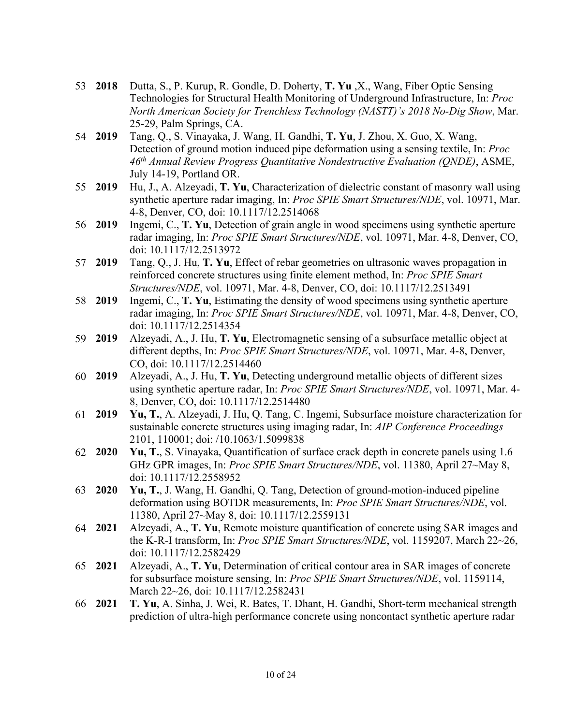- 53 **2018** Dutta, S., P. Kurup, R. Gondle, D. Doherty, **T. Yu** ,X., Wang, Fiber Optic Sensing Technologies for Structural Health Monitoring of Underground Infrastructure, In: *Proc North American Society for Trenchless Technology (NASTT)'s 2018 No-Dig Show*, Mar. 25-29, Palm Springs, CA.
- 54 **2019** Tang, Q., S. Vinayaka, J. Wang, H. Gandhi, **T. Yu**, J. Zhou, X. Guo, X. Wang, Detection of ground motion induced pipe deformation using a sensing textile, In: *Proc 46th Annual Review Progress Quantitative Nondestructive Evaluation (QNDE)*, ASME, July 14-19, Portland OR.
- 55 **2019** Hu, J., A. Alzeyadi, **T. Yu**, Characterization of dielectric constant of masonry wall using synthetic aperture radar imaging, In: *Proc SPIE Smart Structures/NDE*, vol. 10971, Mar. 4-8, Denver, CO, doi: 10.1117/12.2514068
- 56 **2019** Ingemi, C., **T. Yu**, Detection of grain angle in wood specimens using synthetic aperture radar imaging, In: *Proc SPIE Smart Structures/NDE*, vol. 10971, Mar. 4-8, Denver, CO, doi: 10.1117/12.2513972
- 57 **2019** Tang, Q., J. Hu, **T. Yu**, Effect of rebar geometries on ultrasonic waves propagation in reinforced concrete structures using finite element method, In: *Proc SPIE Smart Structures/NDE*, vol. 10971, Mar. 4-8, Denver, CO, doi: 10.1117/12.2513491
- 58 **2019** Ingemi, C., **T. Yu**, Estimating the density of wood specimens using synthetic aperture radar imaging, In: *Proc SPIE Smart Structures/NDE*, vol. 10971, Mar. 4-8, Denver, CO, doi: 10.1117/12.2514354
- 59 **2019** Alzeyadi, A., J. Hu, **T. Yu**, Electromagnetic sensing of a subsurface metallic object at different depths, In: *Proc SPIE Smart Structures/NDE*, vol. 10971, Mar. 4-8, Denver, CO, doi: 10.1117/12.2514460
- 60 **2019** Alzeyadi, A., J. Hu, **T. Yu**, Detecting underground metallic objects of different sizes using synthetic aperture radar, In: *Proc SPIE Smart Structures/NDE*, vol. 10971, Mar. 4- 8, Denver, CO, doi: 10.1117/12.2514480
- 61 **2019 Yu, T.**, A. Alzeyadi, J. Hu, Q. Tang, C. Ingemi, Subsurface moisture characterization for sustainable concrete structures using imaging radar, In: *AIP Conference Proceedings* 2101, 110001; doi: /10.1063/1.5099838
- 62 **2020 Yu, T.**, S. Vinayaka, Quantification of surface crack depth in concrete panels using 1.6 GHz GPR images, In: *Proc SPIE Smart Structures/NDE*, vol. 11380, April 27~May 8, doi: 10.1117/12.2558952
- 63 **2020 Yu, T.**, J. Wang, H. Gandhi, Q. Tang, Detection of ground-motion-induced pipeline deformation using BOTDR measurements, In: *Proc SPIE Smart Structures/NDE*, vol. 11380, April 27~May 8, doi: 10.1117/12.2559131
- 64 **2021** Alzeyadi, A., **T. Yu**, Remote moisture quantification of concrete using SAR images and the K-R-I transform, In: *Proc SPIE Smart Structures/NDE*, vol. 1159207, March 22~26, doi: 10.1117/12.2582429
- 65 **2021** Alzeyadi, A., **T. Yu**, Determination of critical contour area in SAR images of concrete for subsurface moisture sensing, In: *Proc SPIE Smart Structures/NDE*, vol. 1159114, March 22~26, doi: 10.1117/12.2582431
- 66 **2021 T. Yu**, A. Sinha, J. Wei, R. Bates, T. Dhant, H. Gandhi, Short-term mechanical strength prediction of ultra-high performance concrete using noncontact synthetic aperture radar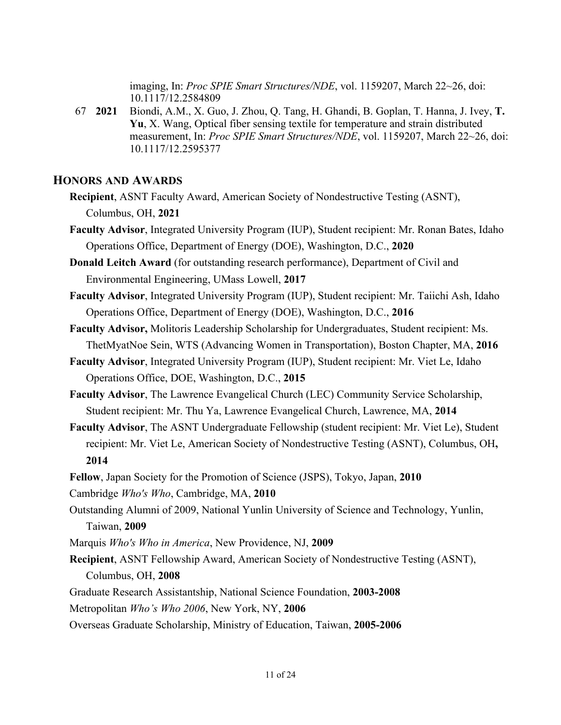imaging, In: *Proc SPIE Smart Structures/NDE*, vol. 1159207, March 22~26, doi: 10.1117/12.2584809

67 **2021** Biondi, A.M., X. Guo, J. Zhou, Q. Tang, H. Ghandi, B. Goplan, T. Hanna, J. Ivey, **T. Yu**, X. Wang, Optical fiber sensing textile for temperature and strain distributed measurement, In: *Proc SPIE Smart Structures/NDE*, vol. 1159207, March 22~26, doi: 10.1117/12.2595377

#### **HONORS AND AWARDS**

- **Recipient**, ASNT Faculty Award, American Society of Nondestructive Testing (ASNT), Columbus, OH, **2021**
- **Faculty Advisor**, Integrated University Program (IUP), Student recipient: Mr. Ronan Bates, Idaho Operations Office, Department of Energy (DOE), Washington, D.C., **2020**
- **Donald Leitch Award** (for outstanding research performance), Department of Civil and Environmental Engineering, UMass Lowell, **2017**
- **Faculty Advisor**, Integrated University Program (IUP), Student recipient: Mr. Taiichi Ash, Idaho Operations Office, Department of Energy (DOE), Washington, D.C., **2016**
- **Faculty Advisor,** Molitoris Leadership Scholarship for Undergraduates, Student recipient: Ms. ThetMyatNoe Sein, WTS (Advancing Women in Transportation), Boston Chapter, MA, **2016**
- **Faculty Advisor**, Integrated University Program (IUP), Student recipient: Mr. Viet Le, Idaho Operations Office, DOE, Washington, D.C., **2015**
- **Faculty Advisor**, The Lawrence Evangelical Church (LEC) Community Service Scholarship, Student recipient: Mr. Thu Ya, Lawrence Evangelical Church, Lawrence, MA, **2014**
- **Faculty Advisor**, The ASNT Undergraduate Fellowship (student recipient: Mr. Viet Le), Student recipient: Mr. Viet Le, American Society of Nondestructive Testing (ASNT), Columbus, OH**, 2014**
- **Fellow**, Japan Society for the Promotion of Science (JSPS), Tokyo, Japan, **2010**
- Cambridge *Who's Who*, Cambridge, MA, **2010**
- Outstanding Alumni of 2009, National Yunlin University of Science and Technology, Yunlin, Taiwan, **2009**
- Marquis *Who's Who in America*, New Providence, NJ, **2009**
- **Recipient**, ASNT Fellowship Award, American Society of Nondestructive Testing (ASNT), Columbus, OH, **2008**
- Graduate Research Assistantship, National Science Foundation, **2003-2008**
- Metropolitan *Who's Who 2006*, New York, NY, **2006**
- Overseas Graduate Scholarship, Ministry of Education, Taiwan, **2005-2006**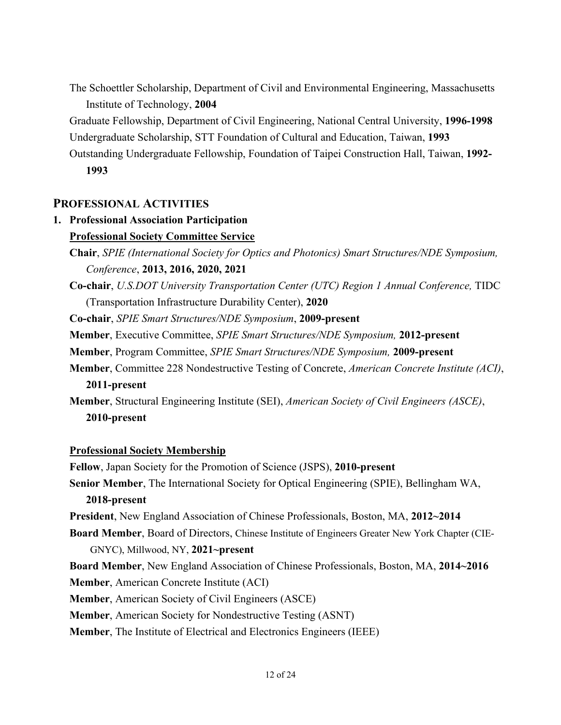The Schoettler Scholarship, Department of Civil and Environmental Engineering, Massachusetts Institute of Technology, **2004**

Graduate Fellowship, Department of Civil Engineering, National Central University, **1996-1998** Undergraduate Scholarship, STT Foundation of Cultural and Education, Taiwan, **1993**

Outstanding Undergraduate Fellowship, Foundation of Taipei Construction Hall, Taiwan, **1992- 1993**

### **PROFESSIONAL ACTIVITIES**

## **1. Professional Association Participation Professional Society Committee Service**

**Co-chair**, *U.S.DOT University Transportation Center (UTC) Region 1 Annual Conference,* TIDC (Transportation Infrastructure Durability Center), **2020**

**Co-chair**, *SPIE Smart Structures/NDE Symposium*, **2009-present**

**Member**, Executive Committee, *SPIE Smart Structures/NDE Symposium,* **2012-present**

**Member**, Program Committee, *SPIE Smart Structures/NDE Symposium,* **2009-present**

**Member**, Committee 228 Nondestructive Testing of Concrete, *American Concrete Institute (ACI)*, **2011-present**

**Member**, Structural Engineering Institute (SEI), *American Society of Civil Engineers (ASCE)*, **2010-present**

### **Professional Society Membership**

**Fellow**, Japan Society for the Promotion of Science (JSPS), **2010-present Senior Member**, The International Society for Optical Engineering (SPIE), Bellingham WA, **2018-present**

**President**, New England Association of Chinese Professionals, Boston, MA, **2012~2014**

**Board Member**, Board of Directors, Chinese Institute of Engineers Greater New York Chapter (CIE-GNYC), Millwood, NY, **2021~present**

**Board Member**, New England Association of Chinese Professionals, Boston, MA, **2014~2016**

**Member**, American Concrete Institute (ACI)

**Member**, American Society of Civil Engineers (ASCE)

**Member**, American Society for Nondestructive Testing (ASNT)

**Member**, The Institute of Electrical and Electronics Engineers (IEEE)

**Chair**, *SPIE (International Society for Optics and Photonics) Smart Structures/NDE Symposium, Conference*, **2013, 2016, 2020, 2021**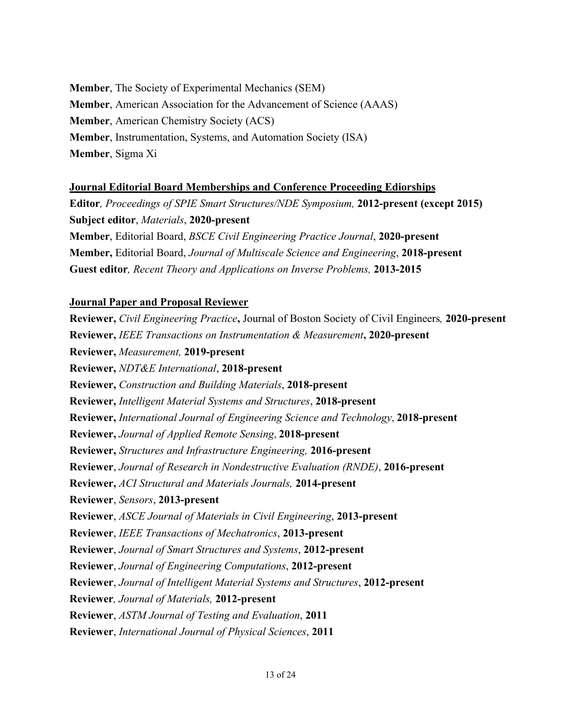**Member**, The Society of Experimental Mechanics (SEM) **Member**, American Association for the Advancement of Science (AAAS) **Member**, American Chemistry Society (ACS) **Member**, Instrumentation, Systems, and Automation Society (ISA) **Member**, Sigma Xi

### **Journal Editorial Board Memberships and Conference Proceeding Ediorships**

**Guest editor***, Recent Theory and Applications on Inverse Problems,* **2013-2015**

**Editor***, Proceedings of SPIE Smart Structures/NDE Symposium,* **2012-present (except 2015) Subject editor**, *Materials*, **2020-present Member**, Editorial Board, *BSCE Civil Engineering Practice Journal*, **2020-present Member,** Editorial Board, *Journal of Multiscale Science and Engineering*, **2018-present**

#### **Journal Paper and Proposal Reviewer**

**Reviewer,** *Civil Engineering Practice***,** Journal of Boston Society of Civil Engineers*,* **2020-present Reviewer,** *IEEE Transactions on Instrumentation & Measurement***, 2020-present Reviewer,** *Measurement,* **2019-present Reviewer,** *NDT&E International*, **2018-present Reviewer,** *Construction and Building Materials*, **2018-present Reviewer,** *Intelligent Material Systems and Structures*, **2018-present Reviewer,** *International Journal of Engineering Science and Technology*, **2018-present Reviewer,** *Journal of Applied Remote Sensing*, **2018-present Reviewer,** *Structures and Infrastructure Engineering,* **2016-present Reviewer**, *Journal of Research in Nondestructive Evaluation (RNDE)*, **2016-present Reviewer,** *ACI Structural and Materials Journals,* **2014-present Reviewer**, *Sensors*, **2013-present Reviewer**, *ASCE Journal of Materials in Civil Engineering*, **2013-present Reviewer**, *IEEE Transactions of Mechatronics*, **2013-present Reviewer**, *Journal of Smart Structures and Systems*, **2012-present Reviewer**, *Journal of Engineering Computations*, **2012-present Reviewer**, *Journal of Intelligent Material Systems and Structures*, **2012-present Reviewer***, Journal of Materials,* **2012-present Reviewer**, *ASTM Journal of Testing and Evaluation*, **2011 Reviewer**, *International Journal of Physical Sciences*, **2011**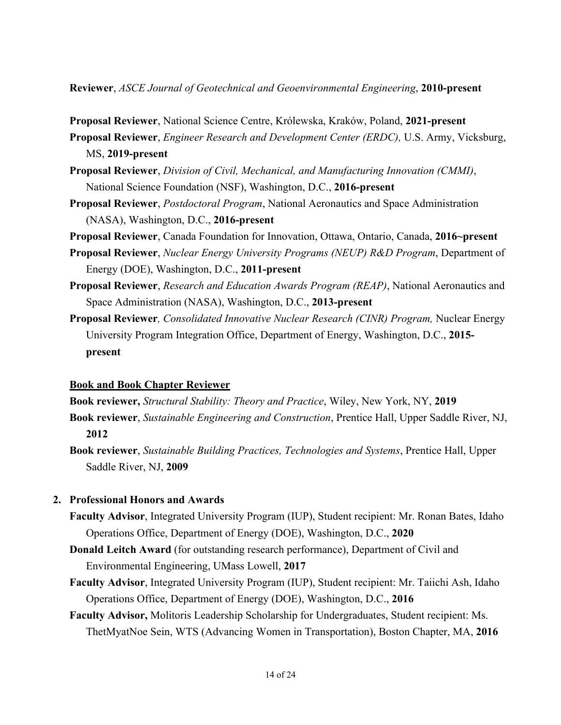**Reviewer**, *ASCE Journal of Geotechnical and Geoenvironmental Engineering*, **2010-present**

**Proposal Reviewer**, National Science Centre, Królewska, Kraków, Poland, **2021-present**

**Proposal Reviewer**, *Engineer Research and Development Center (ERDC),* U.S. Army, Vicksburg, MS, **2019-present**

- **Proposal Reviewer**, *Division of Civil, Mechanical, and Manufacturing Innovation (CMMI)*, National Science Foundation (NSF), Washington, D.C., **2016-present**
- **Proposal Reviewer**, *Postdoctoral Program*, National Aeronautics and Space Administration (NASA), Washington, D.C., **2016-present**
- **Proposal Reviewer**, Canada Foundation for Innovation, Ottawa, Ontario, Canada, **2016~present**
- **Proposal Reviewer**, *Nuclear Energy University Programs (NEUP) R&D Program*, Department of Energy (DOE), Washington, D.C., **2011-present**
- **Proposal Reviewer**, *Research and Education Awards Program (REAP)*, National Aeronautics and Space Administration (NASA), Washington, D.C., **2013-present**
- **Proposal Reviewer***, Consolidated Innovative Nuclear Research (CINR) Program,* Nuclear Energy University Program Integration Office, Department of Energy, Washington, D.C., **2015 present**

#### **Book and Book Chapter Reviewer**

**Book reviewer,** *Structural Stability: Theory and Practice*, Wiley, New York, NY, **2019**

- **Book reviewer**, *Sustainable Engineering and Construction*, Prentice Hall, Upper Saddle River, NJ, **2012**
- **Book reviewer**, *Sustainable Building Practices, Technologies and Systems*, Prentice Hall, Upper Saddle River, NJ, **2009**

#### **2. Professional Honors and Awards**

- **Faculty Advisor**, Integrated University Program (IUP), Student recipient: Mr. Ronan Bates, Idaho Operations Office, Department of Energy (DOE), Washington, D.C., **2020**
- **Donald Leitch Award** (for outstanding research performance), Department of Civil and Environmental Engineering, UMass Lowell, **2017**
- **Faculty Advisor**, Integrated University Program (IUP), Student recipient: Mr. Taiichi Ash, Idaho Operations Office, Department of Energy (DOE), Washington, D.C., **2016**
- **Faculty Advisor,** Molitoris Leadership Scholarship for Undergraduates, Student recipient: Ms. ThetMyatNoe Sein, WTS (Advancing Women in Transportation), Boston Chapter, MA, **2016**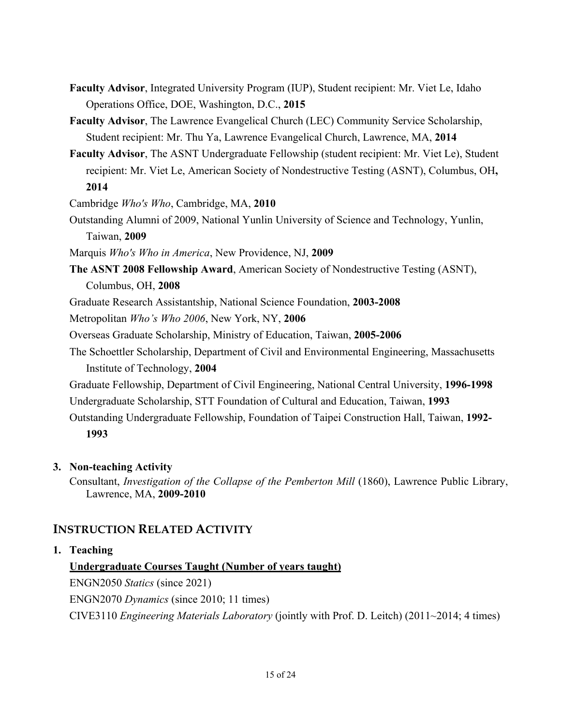- **Faculty Advisor**, Integrated University Program (IUP), Student recipient: Mr. Viet Le, Idaho Operations Office, DOE, Washington, D.C., **2015**
- **Faculty Advisor**, The Lawrence Evangelical Church (LEC) Community Service Scholarship, Student recipient: Mr. Thu Ya, Lawrence Evangelical Church, Lawrence, MA, **2014**
- **Faculty Advisor**, The ASNT Undergraduate Fellowship (student recipient: Mr. Viet Le), Student recipient: Mr. Viet Le, American Society of Nondestructive Testing (ASNT), Columbus, OH**, 2014**

Cambridge *Who's Who*, Cambridge, MA, **2010**

Outstanding Alumni of 2009, National Yunlin University of Science and Technology, Yunlin, Taiwan, **2009**

Marquis *Who's Who in America*, New Providence, NJ, **2009**

**The ASNT 2008 Fellowship Award**, American Society of Nondestructive Testing (ASNT), Columbus, OH, **2008**

Graduate Research Assistantship, National Science Foundation, **2003-2008**

Metropolitan *Who's Who 2006*, New York, NY, **2006**

Overseas Graduate Scholarship, Ministry of Education, Taiwan, **2005-2006**

- The Schoettler Scholarship, Department of Civil and Environmental Engineering, Massachusetts Institute of Technology, **2004**
- Graduate Fellowship, Department of Civil Engineering, National Central University, **1996-1998** Undergraduate Scholarship, STT Foundation of Cultural and Education, Taiwan, **1993**
- Outstanding Undergraduate Fellowship, Foundation of Taipei Construction Hall, Taiwan, **1992- 1993**

## **3. Non-teaching Activity**

Consultant, *Investigation of the Collapse of the Pemberton Mill* (1860), Lawrence Public Library, Lawrence, MA, **2009-2010**

## **INSTRUCTION RELATED ACTIVITY**

### **1. Teaching**

## **Undergraduate Courses Taught (Number of years taught)**

ENGN2050 *Statics* (since 2021) ENGN2070 *Dynamics* (since 2010; 11 times) CIVE3110 *Engineering Materials Laboratory* (jointly with Prof. D. Leitch) (2011~2014; 4 times)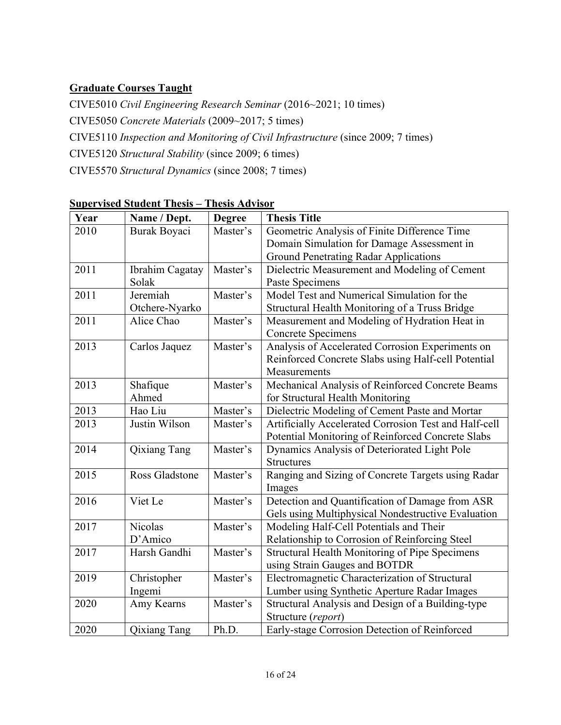## **Graduate Courses Taught**

CIVE5010 *Civil Engineering Research Seminar* (2016~2021; 10 times) CIVE5050 *Concrete Materials* (2009~2017; 5 times) CIVE5110 *Inspection and Monitoring of Civil Infrastructure* (since 2009; 7 times) CIVE5120 *Structural Stability* (since 2009; 6 times) CIVE5570 *Structural Dynamics* (since 2008; 7 times)

| Year | Name / Dept.    | <b>Degree</b> | <b>Thesis Title</b>                                   |  |
|------|-----------------|---------------|-------------------------------------------------------|--|
| 2010 | Burak Boyaci    | Master's      | Geometric Analysis of Finite Difference Time          |  |
|      |                 |               | Domain Simulation for Damage Assessment in            |  |
|      |                 |               | <b>Ground Penetrating Radar Applications</b>          |  |
| 2011 | Ibrahim Cagatay | Master's      | Dielectric Measurement and Modeling of Cement         |  |
|      | Solak           |               | Paste Specimens                                       |  |
| 2011 | Jeremiah        | Master's      | Model Test and Numerical Simulation for the           |  |
|      | Otchere-Nyarko  |               | Structural Health Monitoring of a Truss Bridge        |  |
| 2011 | Alice Chao      | Master's      | Measurement and Modeling of Hydration Heat in         |  |
|      |                 |               | <b>Concrete Specimens</b>                             |  |
| 2013 | Carlos Jaquez   | Master's      | Analysis of Accelerated Corrosion Experiments on      |  |
|      |                 |               | Reinforced Concrete Slabs using Half-cell Potential   |  |
|      |                 |               | Measurements                                          |  |
| 2013 | Shafique        | Master's      | Mechanical Analysis of Reinforced Concrete Beams      |  |
|      | Ahmed           |               | for Structural Health Monitoring                      |  |
| 2013 | Hao Liu         | Master's      | Dielectric Modeling of Cement Paste and Mortar        |  |
| 2013 | Justin Wilson   | Master's      | Artificially Accelerated Corrosion Test and Half-cell |  |
|      |                 |               | Potential Monitoring of Reinforced Concrete Slabs     |  |
| 2014 | Qixiang Tang    | Master's      | Dynamics Analysis of Deteriorated Light Pole          |  |
|      |                 |               | <b>Structures</b>                                     |  |
| 2015 | Ross Gladstone  | Master's      | Ranging and Sizing of Concrete Targets using Radar    |  |
|      |                 |               | Images                                                |  |
| 2016 | Viet Le         | Master's      | Detection and Quantification of Damage from ASR       |  |
|      |                 |               | Gels using Multiphysical Nondestructive Evaluation    |  |
| 2017 | Nicolas         | Master's      | Modeling Half-Cell Potentials and Their               |  |
|      | D'Amico         |               | Relationship to Corrosion of Reinforcing Steel        |  |
| 2017 | Harsh Gandhi    | Master's      | Structural Health Monitoring of Pipe Specimens        |  |
|      |                 |               | using Strain Gauges and BOTDR                         |  |
| 2019 | Christopher     | Master's      | Electromagnetic Characterization of Structural        |  |
|      | Ingemi          |               | Lumber using Synthetic Aperture Radar Images          |  |
| 2020 | Amy Kearns      | Master's      | Structural Analysis and Design of a Building-type     |  |
|      |                 |               | Structure (report)                                    |  |
| 2020 | Qixiang Tang    | Ph.D.         | Early-stage Corrosion Detection of Reinforced         |  |

## **Supervised Student Thesis – Thesis Advisor**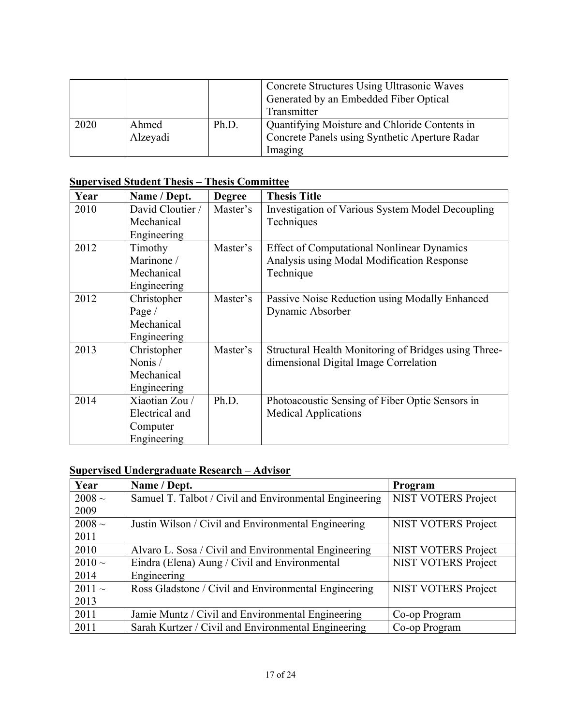|      |                   |       | Concrete Structures Using Ultrasonic Waves<br>Generated by an Embedded Fiber Optical<br>Transmitter        |
|------|-------------------|-------|------------------------------------------------------------------------------------------------------------|
| 2020 | Ahmed<br>Alzeyadi | Ph.D. | Quantifying Moisture and Chloride Contents in<br>Concrete Panels using Synthetic Aperture Radar<br>Imaging |

## **Supervised Student Thesis – Thesis Committee**

| Year | Name / Dept.     | <b>Degree</b> | <b>Thesis Title</b>                                  |  |
|------|------------------|---------------|------------------------------------------------------|--|
| 2010 | David Cloutier / | Master's      | Investigation of Various System Model Decoupling     |  |
|      | Mechanical       |               | Techniques                                           |  |
|      | Engineering      |               |                                                      |  |
| 2012 | Timothy          | Master's      | <b>Effect of Computational Nonlinear Dynamics</b>    |  |
|      | Marinone /       |               | Analysis using Modal Modification Response           |  |
|      | Mechanical       |               | Technique                                            |  |
|      | Engineering      |               |                                                      |  |
| 2012 | Christopher      | Master's      | Passive Noise Reduction using Modally Enhanced       |  |
|      | Page /           |               | Dynamic Absorber                                     |  |
|      | Mechanical       |               |                                                      |  |
|      | Engineering      |               |                                                      |  |
| 2013 | Christopher      | Master's      | Structural Health Monitoring of Bridges using Three- |  |
|      | Nonis /          |               | dimensional Digital Image Correlation                |  |
|      | Mechanical       |               |                                                      |  |
|      | Engineering      |               |                                                      |  |
| 2014 | Xiaotian Zou /   | Ph.D.         | Photoacoustic Sensing of Fiber Optic Sensors in      |  |
|      | Electrical and   |               | <b>Medical Applications</b>                          |  |
|      | Computer         |               |                                                      |  |
|      | Engineering      |               |                                                      |  |

## **Supervised Undergraduate Research – Advisor**

| Year        | Name / Dept.                                           | Program                    |
|-------------|--------------------------------------------------------|----------------------------|
| $2008 \sim$ | Samuel T. Talbot / Civil and Environmental Engineering | <b>NIST VOTERS Project</b> |
| 2009        |                                                        |                            |
| $2008 \sim$ | Justin Wilson / Civil and Environmental Engineering    | <b>NIST VOTERS Project</b> |
| 2011        |                                                        |                            |
| 2010        | Alvaro L. Sosa / Civil and Environmental Engineering   | <b>NIST VOTERS Project</b> |
| $2010 \sim$ | Eindra (Elena) Aung / Civil and Environmental          | <b>NIST VOTERS Project</b> |
| 2014        | Engineering                                            |                            |
| $2011 -$    | Ross Gladstone / Civil and Environmental Engineering   | <b>NIST VOTERS Project</b> |
| 2013        |                                                        |                            |
| 2011        | Jamie Muntz / Civil and Environmental Engineering      | Co-op Program              |
| 2011        | Sarah Kurtzer / Civil and Environmental Engineering    | Co-op Program              |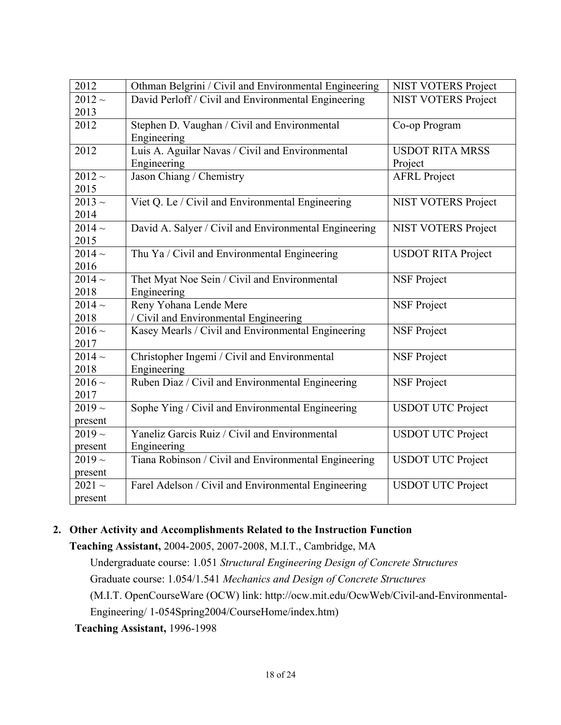| 2012        | Othman Belgrini / Civil and Environmental Engineering | <b>NIST VOTERS Project</b> |
|-------------|-------------------------------------------------------|----------------------------|
| $2012 -$    | David Perloff / Civil and Environmental Engineering   | <b>NIST VOTERS Project</b> |
| 2013        |                                                       |                            |
| 2012        | Stephen D. Vaughan / Civil and Environmental          | Co-op Program              |
|             | Engineering                                           |                            |
| 2012        | Luis A. Aguilar Navas / Civil and Environmental       | <b>USDOT RITA MRSS</b>     |
|             | Engineering                                           | Project                    |
| $2012 -$    | Jason Chiang / Chemistry                              | <b>AFRL Project</b>        |
| 2015        |                                                       |                            |
| $2013 \sim$ | Viet Q. Le / Civil and Environmental Engineering      | <b>NIST VOTERS Project</b> |
| 2014        |                                                       |                            |
| $2014 -$    | David A. Salyer / Civil and Environmental Engineering | <b>NIST VOTERS Project</b> |
| 2015        |                                                       |                            |
| $2014 -$    | Thu Ya / Civil and Environmental Engineering          | <b>USDOT RITA Project</b>  |
| 2016        |                                                       |                            |
| $2014 -$    | Thet Myat Noe Sein / Civil and Environmental          | <b>NSF Project</b>         |
| 2018        | Engineering                                           |                            |
| $2014 -$    | Reny Yohana Lende Mere                                | <b>NSF Project</b>         |
| 2018        | / Civil and Environmental Engineering                 |                            |
| $2016 \sim$ | Kasey Mearls / Civil and Environmental Engineering    | <b>NSF Project</b>         |
| 2017        |                                                       |                            |
| $2014 -$    | Christopher Ingemi / Civil and Environmental          | <b>NSF Project</b>         |
| 2018        | Engineering                                           |                            |
| $2016 \sim$ | Ruben Diaz / Civil and Environmental Engineering      | <b>NSF Project</b>         |
| 2017        |                                                       |                            |
| $2019 -$    | Sophe Ying / Civil and Environmental Engineering      | <b>USDOT UTC Project</b>   |
| present     |                                                       |                            |
| $2019 \sim$ | Yaneliz Garcis Ruiz / Civil and Environmental         | <b>USDOT UTC Project</b>   |
| present     | Engineering                                           |                            |
| $2019 \sim$ | Tiana Robinson / Civil and Environmental Engineering  | <b>USDOT UTC Project</b>   |
| present     |                                                       |                            |
| $2021 -$    | Farel Adelson / Civil and Environmental Engineering   | <b>USDOT UTC Project</b>   |
| present     |                                                       |                            |

## **2. Other Activity and Accomplishments Related to the Instruction Function**

**Teaching Assistant,** 2004-2005, 2007-2008, M.I.T., Cambridge, MA Undergraduate course: 1.051 *Structural Engineering Design of Concrete Structures* Graduate course: 1.054/1.541 *Mechanics and Design of Concrete Structures* (M.I.T. OpenCourseWare (OCW) link: http://ocw.mit.edu/OcwWeb/Civil-and-Environmental-Engineering/ 1-054Spring2004/CourseHome/index.htm)

**Teaching Assistant,** 1996-1998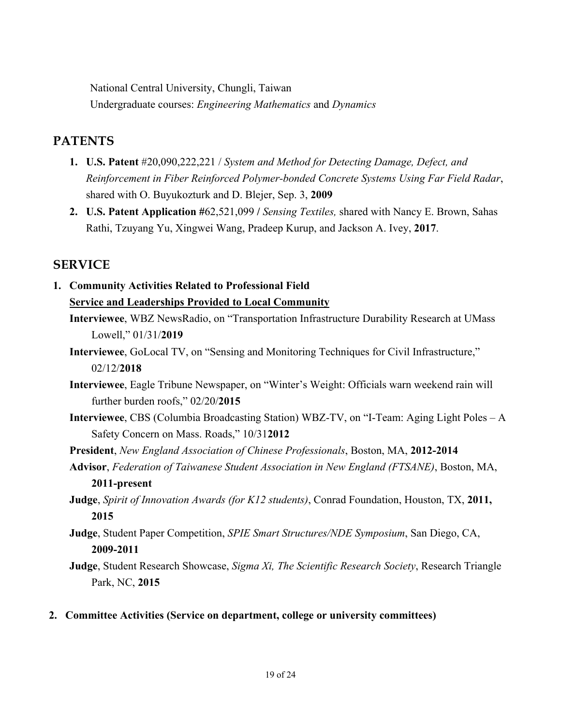National Central University, Chungli, Taiwan Undergraduate courses: *Engineering Mathematics* and *Dynamics*

## **PATENTS**

- **1. U.S. Patent** #20,090,222,221 / *System and Method for Detecting Damage, Defect, and Reinforcement in Fiber Reinforced Polymer-bonded Concrete Systems Using Far Field Radar*, shared with O. Buyukozturk and D. Blejer, Sep. 3, **2009**
- **2. U.S. Patent Application #**62,521,099 **/** *Sensing Textiles,* shared with Nancy E. Brown, Sahas Rathi, Tzuyang Yu, Xingwei Wang, Pradeep Kurup, and Jackson A. Ivey, **2017**.

## **SERVICE**

# **1. Community Activities Related to Professional Field Service and Leaderships Provided to Local Community**

- **Interviewee**, WBZ NewsRadio, on "Transportation Infrastructure Durability Research at UMass Lowell," 01/31/**2019**
- **Interviewee**, GoLocal TV, on "Sensing and Monitoring Techniques for Civil Infrastructure," 02/12/**2018**
- **Interviewee**, Eagle Tribune Newspaper, on "Winter's Weight: Officials warn weekend rain will further burden roofs," 02/20/**2015**
- **Interviewee**, CBS (Columbia Broadcasting Station) WBZ-TV, on "I-Team: Aging Light Poles A Safety Concern on Mass. Roads," 10/31**2012**
- **President**, *New England Association of Chinese Professionals*, Boston, MA, **2012-2014**
- **Advisor**, *Federation of Taiwanese Student Association in New England (FTSANE)*, Boston, MA, **2011-present**
- **Judge**, *Spirit of Innovation Awards (for K12 students)*, Conrad Foundation, Houston, TX, **2011, 2015**
- **Judge**, Student Paper Competition, *SPIE Smart Structures/NDE Symposium*, San Diego, CA, **2009-2011**
- **Judge**, Student Research Showcase, *Sigma Xi, The Scientific Research Society*, Research Triangle Park, NC, **2015**
- **2. Committee Activities (Service on department, college or university committees)**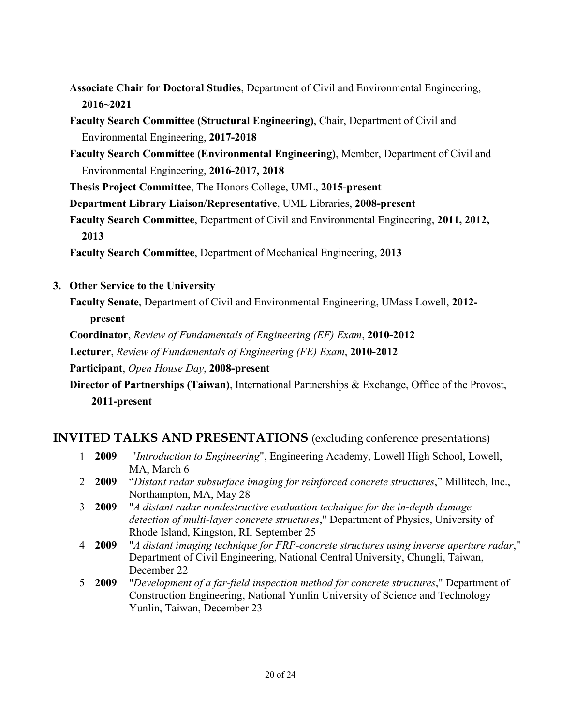- **Associate Chair for Doctoral Studies**, Department of Civil and Environmental Engineering, **2016~2021**
- **Faculty Search Committee (Structural Engineering)**, Chair, Department of Civil and Environmental Engineering, **2017-2018**
- **Faculty Search Committee (Environmental Engineering)**, Member, Department of Civil and Environmental Engineering, **2016-2017, 2018**

**Thesis Project Committee**, The Honors College, UML, **2015-present**

**Department Library Liaison/Representative**, UML Libraries, **2008-present**

**Faculty Search Committee**, Department of Civil and Environmental Engineering, **2011, 2012, 2013**

**Faculty Search Committee**, Department of Mechanical Engineering, **2013**

**3. Other Service to the University**

**Faculty Senate**, Department of Civil and Environmental Engineering, UMass Lowell, **2012 present**

**Coordinator**, *Review of Fundamentals of Engineering (EF) Exam*, **2010-2012**

**Lecturer**, *Review of Fundamentals of Engineering (FE) Exam*, **2010-2012**

**Participant**, *Open House Day*, **2008-present**

**Director of Partnerships (Taiwan)**, International Partnerships & Exchange, Office of the Provost, **2011-present**

## **INVITED TALKS AND PRESENTATIONS** (excluding conference presentations)

- 1 **2009** "*Introduction to Engineering*", Engineering Academy, Lowell High School, Lowell, MA, March 6
- 2 **2009** "*Distant radar subsurface imaging for reinforced concrete structures*," Millitech, Inc., Northampton, MA, May 28
- 3 **2009** "*A distant radar nondestructive evaluation technique for the in-depth damage detection of multi-layer concrete structures*," Department of Physics, University of Rhode Island, Kingston, RI, September 25
- 4 **2009** "*A distant imaging technique for FRP-concrete structures using inverse aperture radar*," Department of Civil Engineering, National Central University, Chungli, Taiwan, December 22
- 5 **2009** "*Development of a far-field inspection method for concrete structures*," Department of Construction Engineering, National Yunlin University of Science and Technology Yunlin, Taiwan, December 23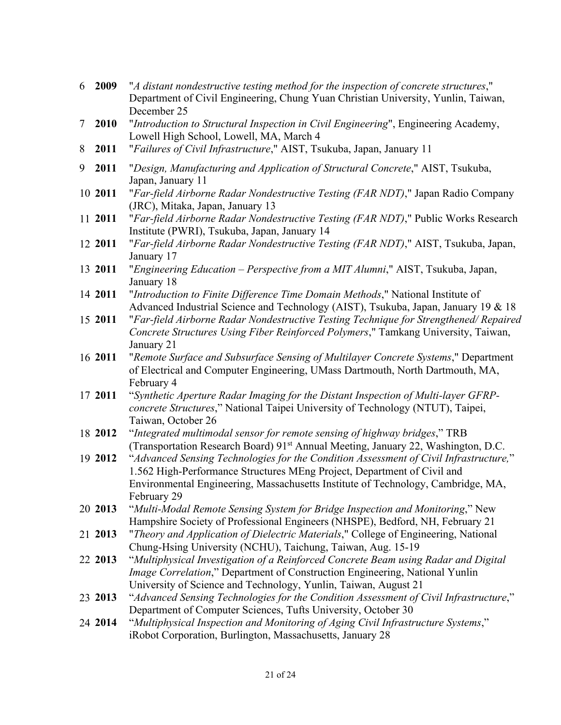- 6 **2009** "*A distant nondestructive testing method for the inspection of concrete structures*," Department of Civil Engineering, Chung Yuan Christian University, Yunlin, Taiwan, December 25
- 7 **2010** "*Introduction to Structural Inspection in Civil Engineering*", Engineering Academy, Lowell High School, Lowell, MA, March 4
- 8 **2011** "*Failures of Civil Infrastructure*," AIST, Tsukuba, Japan, January 11
- 9 **2011** "*Design, Manufacturing and Application of Structural Concrete*," AIST, Tsukuba, Japan, January 11
- 10 **2011** "*Far-field Airborne Radar Nondestructive Testing (FAR NDT)*," Japan Radio Company (JRC), Mitaka, Japan, January 13
- 11 **2011** "*Far-field Airborne Radar Nondestructive Testing (FAR NDT)*," Public Works Research Institute (PWRI), Tsukuba, Japan, January 14
- 12 **2011** "*Far-field Airborne Radar Nondestructive Testing (FAR NDT)*," AIST, Tsukuba, Japan, January 17
- 13 **2011** "*Engineering Education – Perspective from a MIT Alumni*," AIST, Tsukuba, Japan, January 18
- 14 **2011** "*Introduction to Finite Difference Time Domain Methods*," National Institute of Advanced Industrial Science and Technology (AIST), Tsukuba, Japan, January 19 & 18
- 15 **2011** "*Far-field Airborne Radar Nondestructive Testing Technique for Strengthened/ Repaired Concrete Structures Using Fiber Reinforced Polymers*," Tamkang University, Taiwan, January 21
- 16 **2011** "*Remote Surface and Subsurface Sensing of Multilayer Concrete Systems*," Department of Electrical and Computer Engineering, UMass Dartmouth, North Dartmouth, MA, February 4
- 17 **2011** "*Synthetic Aperture Radar Imaging for the Distant Inspection of Multi-layer GFRPconcrete Structures*," National Taipei University of Technology (NTUT), Taipei, Taiwan, October 26
- 18 **2012** "*Integrated multimodal sensor for remote sensing of highway bridges*," TRB (Transportation Research Board) 91st Annual Meeting, January 22, Washington, D.C.
- 19 **2012** "*Advanced Sensing Technologies for the Condition Assessment of Civil Infrastructure,*" 1.562 High-Performance Structures MEng Project, Department of Civil and Environmental Engineering, Massachusetts Institute of Technology, Cambridge, MA, February 29
- 20 **2013** "*Multi-Modal Remote Sensing System for Bridge Inspection and Monitoring*," New Hampshire Society of Professional Engineers (NHSPE), Bedford, NH, February 21
- 21 **2013** "*Theory and Application of Dielectric Materials*," College of Engineering, National Chung-Hsing University (NCHU), Taichung, Taiwan, Aug. 15-19
- 22 **2013** "*Multiphysical Investigation of a Reinforced Concrete Beam using Radar and Digital Image Correlation*," Department of Construction Engineering, National Yunlin University of Science and Technology, Yunlin, Taiwan, August 21
- 23 **2013** "*Advanced Sensing Technologies for the Condition Assessment of Civil Infrastructure*," Department of Computer Sciences, Tufts University, October 30
- 24 **2014** "*Multiphysical Inspection and Monitoring of Aging Civil Infrastructure Systems*," iRobot Corporation, Burlington, Massachusetts, January 28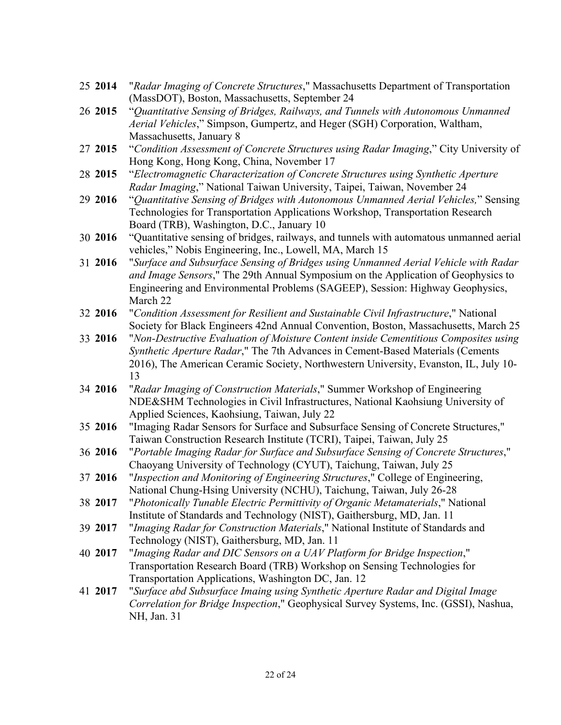- 25 **2014** "*Radar Imaging of Concrete Structures*," Massachusetts Department of Transportation (MassDOT), Boston, Massachusetts, September 24
- 26 **2015** "*Quantitative Sensing of Bridges, Railways, and Tunnels with Autonomous Unmanned Aerial Vehicles*," Simpson, Gumpertz, and Heger (SGH) Corporation, Waltham, Massachusetts, January 8
- 27 **2015** "*Condition Assessment of Concrete Structures using Radar Imaging*," City University of Hong Kong, Hong Kong, China, November 17
- 28 **2015** "*Electromagnetic Characterization of Concrete Structures using Synthetic Aperture Radar Imaging*," National Taiwan University, Taipei, Taiwan, November 24
- 29 **2016** "*Quantitative Sensing of Bridges with Autonomous Unmanned Aerial Vehicles,*" Sensing Technologies for Transportation Applications Workshop, Transportation Research Board (TRB), Washington, D.C., January 10
- 30 **2016** "Quantitative sensing of bridges, railways, and tunnels with automatous unmanned aerial vehicles," Nobis Engineering, Inc., Lowell, MA, March 15
- 31 **2016** "*Surface and Subsurface Sensing of Bridges using Unmanned Aerial Vehicle with Radar and Image Sensors*," The 29th Annual Symposium on the Application of Geophysics to Engineering and Environmental Problems (SAGEEP), Session: Highway Geophysics, March 22
- 32 **2016** "*Condition Assessment for Resilient and Sustainable Civil Infrastructure*," National Society for Black Engineers 42nd Annual Convention, Boston, Massachusetts, March 25
- 33 **2016** "*Non-Destructive Evaluation of Moisture Content inside Cementitious Composites using Synthetic Aperture Radar*," The 7th Advances in Cement-Based Materials (Cements 2016), The American Ceramic Society, Northwestern University, Evanston, IL, July 10- 13
- 34 **2016** "*Radar Imaging of Construction Materials*," Summer Workshop of Engineering NDE&SHM Technologies in Civil Infrastructures, National Kaohsiung University of Applied Sciences, Kaohsiung, Taiwan, July 22
- 35 **2016** "Imaging Radar Sensors for Surface and Subsurface Sensing of Concrete Structures," Taiwan Construction Research Institute (TCRI), Taipei, Taiwan, July 25
- 36 **2016** "*Portable Imaging Radar for Surface and Subsurface Sensing of Concrete Structures*," Chaoyang University of Technology (CYUT), Taichung, Taiwan, July 25
- 37 **2016** "*Inspection and Monitoring of Engineering Structures*," College of Engineering, National Chung-Hsing University (NCHU), Taichung, Taiwan, July 26-28
- 38 **2017** "*Photonically Tunable Electric Permittivity of Organic Metamaterials*," National Institute of Standards and Technology (NIST), Gaithersburg, MD, Jan. 11
- 39 **2017** "*Imaging Radar for Construction Materials*," National Institute of Standards and Technology (NIST), Gaithersburg, MD, Jan. 11
- 40 **2017** "*Imaging Radar and DIC Sensors on a UAV Platform for Bridge Inspection*," Transportation Research Board (TRB) Workshop on Sensing Technologies for Transportation Applications, Washington DC, Jan. 12
- 41 **2017** "*Surface abd Subsurface Imaing using Synthetic Aperture Radar and Digital Image Correlation for Bridge Inspection*," Geophysical Survey Systems, Inc. (GSSI), Nashua, NH, Jan. 31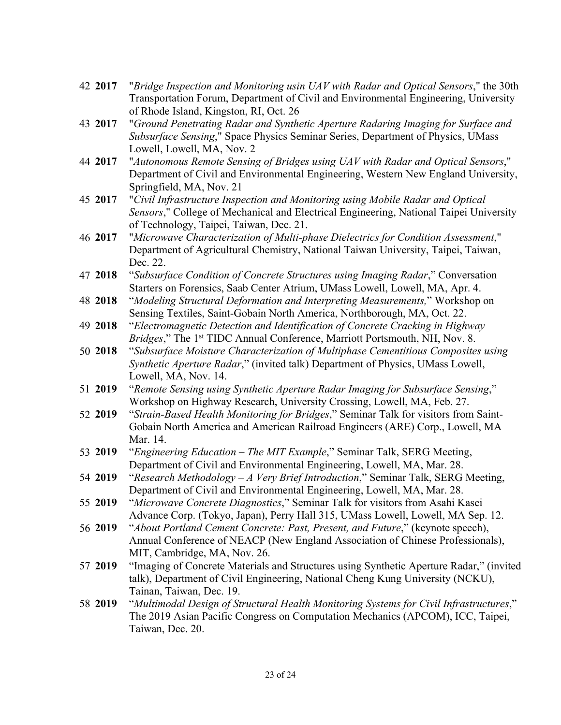- 42 **2017** "*Bridge Inspection and Monitoring usin UAV with Radar and Optical Sensors*," the 30th Transportation Forum, Department of Civil and Environmental Engineering, University of Rhode Island, Kingston, RI, Oct. 26
- 43 **2017** "*Ground Penetrating Radar and Synthetic Aperture Radaring Imaging for Surface and Subsurface Sensing*," Space Physics Seminar Series, Department of Physics, UMass Lowell, Lowell, MA, Nov. 2
- 44 **2017** "*Autonomous Remote Sensing of Bridges using UAV with Radar and Optical Sensors*," Department of Civil and Environmental Engineering, Western New England University, Springfield, MA, Nov. 21
- 45 **2017** "*Civil Infrastructure Inspection and Monitoring using Mobile Radar and Optical Sensors*," College of Mechanical and Electrical Engineering, National Taipei University of Technology, Taipei, Taiwan, Dec. 21.
- 46 **2017** "*Microwave Characterization of Multi-phase Dielectrics for Condition Assessment*," Department of Agricultural Chemistry, National Taiwan University, Taipei, Taiwan, Dec. 22.
- 47 **2018** "*Subsurface Condition of Concrete Structures using Imaging Radar*," Conversation Starters on Forensics, Saab Center Atrium, UMass Lowell, Lowell, MA, Apr. 4.
- 48 **2018** "*Modeling Structural Deformation and Interpreting Measurements,*" Workshop on Sensing Textiles, Saint-Gobain North America, Northborough, MA, Oct. 22.
- 49 **2018** "*Electromagnetic Detection and Identification of Concrete Cracking in Highway Bridges*," The 1st TIDC Annual Conference, Marriott Portsmouth, NH, Nov. 8.
- 50 **2018** "*Subsurface Moisture Characterization of Multiphase Cementitious Composites using Synthetic Aperture Radar*," (invited talk) Department of Physics, UMass Lowell, Lowell, MA, Nov. 14.
- 51 **2019** "*Remote Sensing using Synthetic Aperture Radar Imaging for Subsurface Sensing*," Workshop on Highway Research, University Crossing, Lowell, MA, Feb. 27.
- 52 **2019** "*Strain-Based Health Monitoring for Bridges*," Seminar Talk for visitors from Saint-Gobain North America and American Railroad Engineers (ARE) Corp., Lowell, MA Mar. 14.
- 53 **2019** "*Engineering Education – The MIT Example*," Seminar Talk, SERG Meeting, Department of Civil and Environmental Engineering, Lowell, MA, Mar. 28.
- 54 **2019** "*Research Methodology – A Very Brief Introduction*," Seminar Talk, SERG Meeting, Department of Civil and Environmental Engineering, Lowell, MA, Mar. 28.
- 55 **2019** "*Microwave Concrete Diagnostics*," Seminar Talk for visitors from Asahi Kasei Advance Corp. (Tokyo, Japan), Perry Hall 315, UMass Lowell, Lowell, MA Sep. 12.
- 56 **2019** "*About Portland Cement Concrete: Past, Present, and Future*," (keynote speech), Annual Conference of NEACP (New England Association of Chinese Professionals), MIT, Cambridge, MA, Nov. 26.
- 57 **2019** "Imaging of Concrete Materials and Structures using Synthetic Aperture Radar," (invited talk), Department of Civil Engineering, National Cheng Kung University (NCKU), Tainan, Taiwan, Dec. 19.
- 58 **2019** "*Multimodal Design of Structural Health Monitoring Systems for Civil Infrastructures*," The 2019 Asian Pacific Congress on Computation Mechanics (APCOM), ICC, Taipei, Taiwan, Dec. 20.